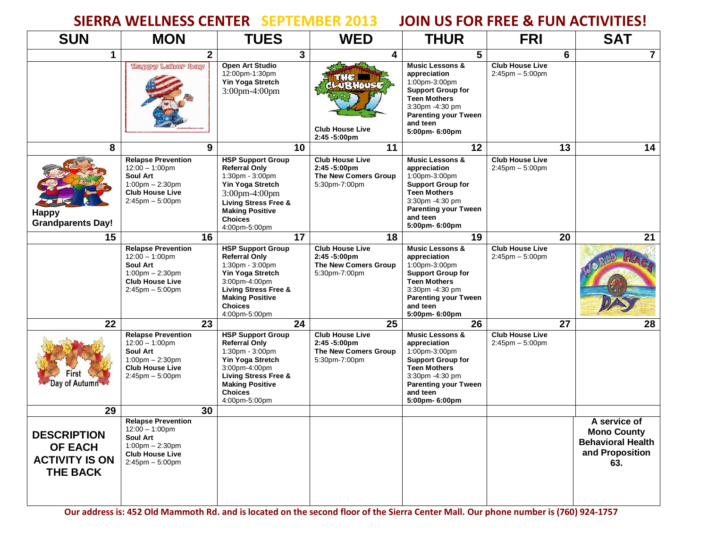## **SIERRA WELLNESS CENTER SEPTEMBER 2013 JOIN US FOR FREE & FUN ACTIVITIES!**

| <b>SUN</b>                                                                       | <b>MON</b>                                                                                                                                   | <b>TUES</b>                                                                                                                                                                                              | <b>WED</b>                                                                                 | <b>THUR</b>                                                                                                                                                                                    | <b>FRI</b>                                     | <b>SAT</b>                                                                               |
|----------------------------------------------------------------------------------|----------------------------------------------------------------------------------------------------------------------------------------------|----------------------------------------------------------------------------------------------------------------------------------------------------------------------------------------------------------|--------------------------------------------------------------------------------------------|------------------------------------------------------------------------------------------------------------------------------------------------------------------------------------------------|------------------------------------------------|------------------------------------------------------------------------------------------|
| $\mathbf 1$                                                                      | 2 <sup>1</sup>                                                                                                                               | 3 <sup>1</sup>                                                                                                                                                                                           | 4                                                                                          | 5                                                                                                                                                                                              | 6                                              | 7                                                                                        |
|                                                                                  | Happy Labor Day                                                                                                                              | Open Art Studio<br>12:00pm-1:30pm<br>Yin Yoga Stretch<br>3:00pm-4:00pm                                                                                                                                   | CLUBHOUSE<br><b>Club House Live</b><br>2:45 -5:00pm                                        | <b>Music Lessons &amp;</b><br>appreciation<br>1:00pm-3:00pm<br><b>Support Group for</b><br><b>Teen Mothers</b><br>3:30pm -4:30 pm<br><b>Parenting your Tween</b><br>and teen<br>5:00pm- 6:00pm | <b>Club House Live</b><br>$2:45$ pm $-5:00$ pm |                                                                                          |
| 8                                                                                | 9                                                                                                                                            | 10                                                                                                                                                                                                       | 11                                                                                         | 12                                                                                                                                                                                             | 13                                             | 14                                                                                       |
| <b>Happy</b><br><b>Grandparents Day!</b>                                         | <b>Relapse Prevention</b><br>$12:00 - 1:00$ pm<br>Soul Art<br>$1:00$ pm $- 2:30$ pm<br><b>Club House Live</b><br>$2:45$ pm $-5:00$ pm        | <b>HSP Support Group</b><br><b>Referral Only</b><br>1:30pm - 3:00pm<br>Yin Yoga Stretch<br>3:00pm-4:00pm<br>Living Stress Free &<br><b>Making Positive</b><br><b>Choices</b><br>4:00pm-5:00pm            | <b>Club House Live</b><br>2:45 -5:00pm<br>The New Comers Group<br>5:30pm-7:00pm            | <b>Music Lessons &amp;</b><br>appreciation<br>1:00pm-3:00pm<br><b>Support Group for</b><br><b>Teen Mothers</b><br>3:30pm -4:30 pm<br><b>Parenting your Tween</b><br>and teen<br>5:00pm- 6:00pm | <b>Club House Live</b><br>$2:45$ pm $-5:00$ pm |                                                                                          |
| 15                                                                               | 16                                                                                                                                           | 17                                                                                                                                                                                                       | 18                                                                                         | 19                                                                                                                                                                                             | 20                                             | 21                                                                                       |
|                                                                                  | <b>Relapse Prevention</b><br>$12:00 - 1:00 \text{pm}$<br>Soul Art<br>$1:00$ pm $- 2:30$ pm<br><b>Club House Live</b><br>$2:45$ pm $-5:00$ pm | <b>HSP Support Group</b><br><b>Referral Only</b><br>1:30pm - 3:00pm<br>Yin Yoga Stretch<br>3:00pm-4:00pm<br><b>Living Stress Free &amp;</b><br><b>Making Positive</b><br><b>Choices</b><br>4:00pm-5:00pm | <b>Club House Live</b><br>$2:45 - 5:00$ pm<br>The New Comers Group<br>5:30pm-7:00pm        | <b>Music Lessons &amp;</b><br>appreciation<br>1:00pm-3:00pm<br><b>Support Group for</b><br><b>Teen Mothers</b><br>3:30pm -4:30 pm<br><b>Parenting your Tween</b><br>and teen<br>5:00pm- 6:00pm | <b>Club House Live</b><br>$2:45$ pm $-5:00$ pm |                                                                                          |
| 22                                                                               | 23                                                                                                                                           | 24                                                                                                                                                                                                       | 25                                                                                         | 26                                                                                                                                                                                             | 27                                             | 28                                                                                       |
| Day of Autumn                                                                    | <b>Relapse Prevention</b><br>$12:00 - 1:00$ pm<br>Soul Art<br>$1:00$ pm $- 2:30$ pm<br><b>Club House Live</b><br>$2:45$ pm $-5:00$ pm        | <b>HSP Support Group</b><br><b>Referral Only</b><br>1:30pm - 3:00pm<br>Yin Yoga Stretch<br>3:00pm-4:00pm<br><b>Living Stress Free &amp;</b><br><b>Making Positive</b><br><b>Choices</b><br>4:00pm-5:00pm | <b>Club House Live</b><br>$2:45 - 5:00 \text{pm}$<br>The New Comers Group<br>5:30pm-7:00pm | <b>Music Lessons &amp;</b><br>appreciation<br>1:00pm-3:00pm<br><b>Support Group for</b><br><b>Teen Mothers</b><br>3:30pm -4:30 pm<br><b>Parenting your Tween</b><br>and teen<br>5:00pm- 6:00pm | <b>Club House Live</b><br>$2:45$ pm $-5:00$ pm |                                                                                          |
| 29                                                                               | 30                                                                                                                                           |                                                                                                                                                                                                          |                                                                                            |                                                                                                                                                                                                |                                                |                                                                                          |
| <b>DESCRIPTION</b><br><b>OF EACH</b><br><b>ACTIVITY IS ON</b><br><b>THE BACK</b> | <b>Relapse Prevention</b><br>$12:00 - 1:00$ pm<br>Soul Art<br>$1:00$ pm $- 2:30$ pm<br><b>Club House Live</b><br>$2:45$ pm $-5:00$ pm        |                                                                                                                                                                                                          |                                                                                            |                                                                                                                                                                                                |                                                | A service of<br><b>Mono County</b><br><b>Behavioral Health</b><br>and Proposition<br>63. |